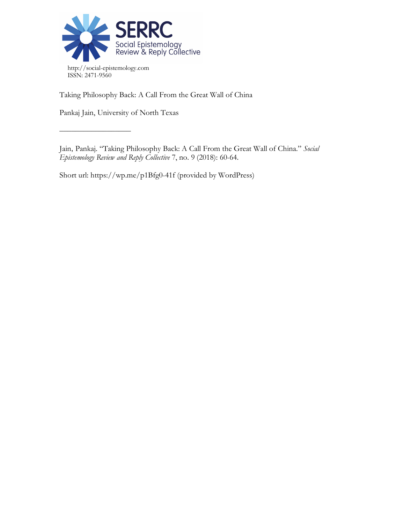

Taking Philosophy Back: A Call From the Great Wall of China

Pankaj Jain, University of North Texas

 $\frac{\frac{1}{2}+\frac{1}{2}-\frac{1}{2}-\frac{1}{2}-\frac{1}{2}-\frac{1}{2}-\frac{1}{2}-\frac{1}{2}-\frac{1}{2}-\frac{1}{2}-\frac{1}{2}-\frac{1}{2}-\frac{1}{2}-\frac{1}{2}-\frac{1}{2}-\frac{1}{2}-\frac{1}{2}-\frac{1}{2}-\frac{1}{2}-\frac{1}{2}-\frac{1}{2}-\frac{1}{2}-\frac{1}{2}-\frac{1}{2}-\frac{1}{2}-\frac{1}{2}-\frac{1}{2}-\frac{1}{2}-\frac{1}{2}-\frac{1}{2}-\frac{1}{2}-\$ 

Jain, Pankaj. "Taking Philosophy Back: A Call From the Great Wall of China." *Social Epistemology Review and Reply Collective* 7, no. 9 (2018): 60-64.

Short url: https://wp.me/p1Bfg0-41f (provided by WordPress)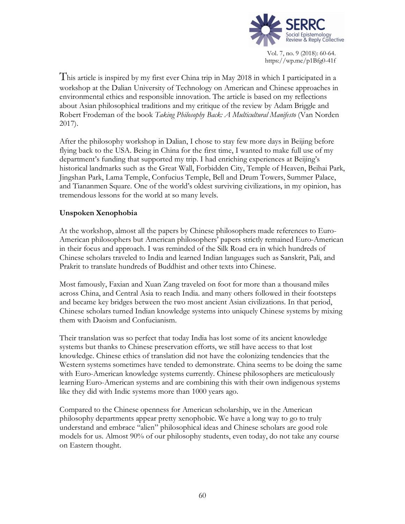

Vol. 7, no. 9 (2018): 60-64. https://wp.me/p1Bfg0-41f

This article is inspired by my first ever China trip in May 2018 in which I participated in a workshop at the Dalian University of Technology on American and Chinese approaches in environmental ethics and responsible innovation. The article is based on my reflections about Asian philosophical traditions and my critique of the review by Adam Briggle and Robert Frodeman of the book *Taking Philosophy Back: A Multicultural Manifesto* (Van Norden 2017).

After the philosophy workshop in Dalian, I chose to stay few more days in Beijing before flying back to the USA. Being in China for the first time, I wanted to make full use of my department's funding that supported my trip. I had enriching experiences at Beijing's historical landmarks such as the Great Wall, Forbidden City, Temple of Heaven, Beihai Park, Jingshan Park, Lama Temple, Confucius Temple, Bell and Drum Towers, Summer Palace, and Tiananmen Square. One of the world's oldest surviving civilizations, in my opinion, has tremendous lessons for the world at so many levels.

## **Unspoken Xenophobia**

At the workshop, almost all the papers by Chinese philosophers made references to Euro-American philosophers but American philosophers' papers strictly remained Euro-American in their focus and approach. I was reminded of the Silk Road era in which hundreds of Chinese scholars traveled to India and learned Indian languages such as Sanskrit, Pali, and Prakrit to translate hundreds of Buddhist and other texts into Chinese.

Most famously, Faxian and Xuan Zang traveled on foot for more than a thousand miles across China, and Central Asia to reach India. and many others followed in their footsteps and became key bridges between the two most ancient Asian civilizations. In that period, Chinese scholars turned Indian knowledge systems into uniquely Chinese systems by mixing them with Daoism and Confucianism.

Their translation was so perfect that today India has lost some of its ancient knowledge systems but thanks to Chinese preservation efforts, we still have access to that lost knowledge. Chinese ethics of translation did not have the colonizing tendencies that the Western systems sometimes have tended to demonstrate. China seems to be doing the same with Euro-American knowledge systems currently. Chinese philosophers are meticulously learning Euro-American systems and are combining this with their own indigenous systems like they did with Indic systems more than 1000 years ago.

Compared to the Chinese openness for American scholarship, we in the American philosophy departments appear pretty xenophobic. We have a long way to go to truly understand and embrace "alien" philosophical ideas and Chinese scholars are good role models for us. Almost 90% of our philosophy students, even today, do not take any course on Eastern thought.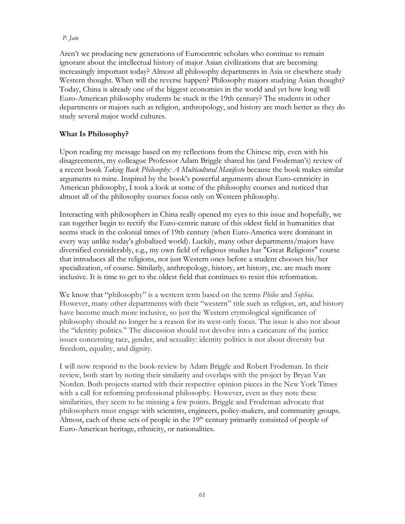## *P. Jain*

Aren't we producing new generations of Eurocentric scholars who continue to remain ignorant about the intellectual history of major Asian civilizations that are becoming increasingly important today? Almost all philosophy departments in Asia or elsewhere study Western thought. When will the reverse happen? Philosophy majors studying Asian thought? Today, China is already one of the biggest economies in the world and yet how long will Euro-American philosophy students be stuck in the 19th century? The students in other departments or majors such as religion, anthropology, and history are much better as they do study several major world cultures.

# **What Is Philosophy?**

Upon reading my message based on my reflections from the Chinese trip, even with his disagreements, my colleague Professor Adam Briggle shared his (and Frodeman's) review of a recent book *Taking Back Philosophy: A Multicultural Manifesto* because the book makes similar arguments to mine. Inspired by the book's powerful arguments about Euro-centricity in American philosophy, I took a look at some of the philosophy courses and noticed that almost all of the philosophy courses focus only on Western philosophy.

Interacting with philosophers in China really opened my eyes to this issue and hopefully, we can together begin to rectify the Euro-centric nature of this oldest field in humanities that seems stuck in the colonial times of 19th century (when Euro-America were dominant in every way unlike today's globalized world). Luckily, many other departments/majors have diversified considerably, e.g., my own field of religious studies has "Great Religions" course that introduces all the religions, not just Western ones before a student chooses his/her specialization, of course. Similarly, anthropology, history, art history, etc. are much more inclusive. It is time to get to the oldest field that continues to resist this reformation.

We know that "philosophy" is a western term based on the terms *Philos* and *Sophia*. However, many other departments with their "western" title such as religion, art, and history have become much more inclusive, so just the Western etymological significance of philosophy should no longer be a reason for its west-only focus. The issue is also not about the "identity politics." The discussion should not devolve into a caricature of the justice issues concerning race, gender, and sexuality: identity politics is not about diversity but freedom, equality, and dignity.

I will now respond to the book-review by Adam Briggle and Robert Frodeman. In their review, both start by noting their similarity and overlaps with the project by Bryan Van Norden. Both projects started with their respective opinion pieces in the New York Times with a call for reforming professional philosophy. However, even as they note these similarities, they seem to be missing a few points. Briggle and Frodeman advocate that philosophers must engage with scientists, engineers, policy-makers, and community groups. Almost, each of these sets of people in the  $19<sup>th</sup>$  century primarily consisted of people of Euro-American heritage, ethnicity, or nationalities.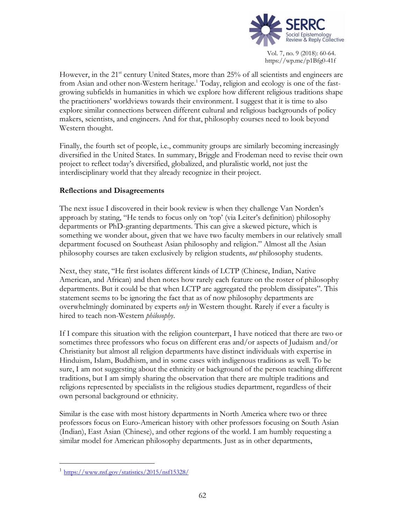

Vol. 7, no. 9 (2018): 60-64. https://wp.me/p1Bfg0-41f

However, in the  $21<sup>st</sup>$  century United States, more than  $25%$  of all scientists and engineers are from Asian and other non-Western heritage.<sup>1</sup> Today, religion and ecology is one of the fastgrowing subfields in humanities in which we explore how different religious traditions shape the practitioners' worldviews towards their environment. I suggest that it is time to also explore similar connections between different cultural and religious backgrounds of policy makers, scientists, and engineers. And for that, philosophy courses need to look beyond Western thought.

Finally, the fourth set of people, i.e., community groups are similarly becoming increasingly diversified in the United States. In summary, Briggle and Frodeman need to revise their own project to reflect today's diversified, globalized, and pluralistic world, not just the interdisciplinary world that they already recognize in their project.

### **Reflections and Disagreements**

The next issue I discovered in their book review is when they challenge Van Norden's approach by stating, "He tends to focus only on 'top' (via Leiter's definition) philosophy departments or PhD-granting departments. This can give a skewed picture, which is something we wonder about, given that we have two faculty members in our relatively small department focused on Southeast Asian philosophy and religion." Almost all the Asian philosophy courses are taken exclusively by religion students, *not* philosophy students.

Next, they state, "He first isolates different kinds of LCTP (Chinese, Indian, Native American, and African) and then notes how rarely each feature on the roster of philosophy departments. But it could be that when LCTP are aggregated the problem dissipates". This statement seems to be ignoring the fact that as of now philosophy departments are overwhelmingly dominated by experts *only* in Western thought. Rarely if ever a faculty is hired to teach non-Western *philosophy*.

If I compare this situation with the religion counterpart, I have noticed that there are two or sometimes three professors who focus on different eras and/or aspects of Judaism and/or Christianity but almost all religion departments have distinct individuals with expertise in Hinduism, Islam, Buddhism, and in some cases with indigenous traditions as well. To be sure, I am not suggesting about the ethnicity or background of the person teaching different traditions, but I am simply sharing the observation that there are multiple traditions and religions represented by specialists in the religious studies department, regardless of their own personal background or ethnicity.

Similar is the case with most history departments in North America where two or three professors focus on Euro-American history with other professors focusing on South Asian (Indian), East Asian (Chinese), and other regions of the world. I am humbly requesting a similar model for American philosophy departments. Just as in other departments,

 <sup>1</sup> https://www.nsf.gov/statistics/2015/nsf15328/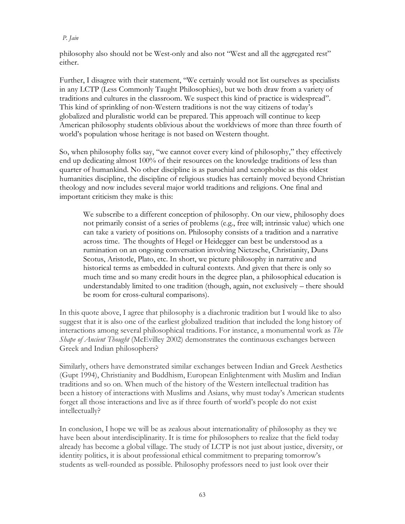#### *P. Jain*

philosophy also should not be West-only and also not "West and all the aggregated rest" either.

Further, I disagree with their statement, "We certainly would not list ourselves as specialists in any LCTP (Less Commonly Taught Philosophies), but we both draw from a variety of traditions and cultures in the classroom. We suspect this kind of practice is widespread". This kind of sprinkling of non-Western traditions is not the way citizens of today's globalized and pluralistic world can be prepared. This approach will continue to keep American philosophy students oblivious about the worldviews of more than three fourth of world's population whose heritage is not based on Western thought.

So, when philosophy folks say, "we cannot cover every kind of philosophy," they effectively end up dedicating almost 100% of their resources on the knowledge traditions of less than quarter of humankind. No other discipline is as parochial and xenophobic as this oldest humanities discipline, the discipline of religious studies has certainly moved beyond Christian theology and now includes several major world traditions and religions. One final and important criticism they make is this:

We subscribe to a different conception of philosophy. On our view, philosophy does not primarily consist of a series of problems (e.g., free will; intrinsic value) which one can take a variety of positions on. Philosophy consists of a tradition and a narrative across time. The thoughts of Hegel or Heidegger can best be understood as a rumination on an ongoing conversation involving Nietzsche, Christianity, Duns Scotus, Aristotle, Plato, etc. In short, we picture philosophy in narrative and historical terms as embedded in cultural contexts. And given that there is only so much time and so many credit hours in the degree plan, a philosophical education is understandably limited to one tradition (though, again, not exclusively – there should be room for cross-cultural comparisons).

In this quote above, I agree that philosophy is a diachronic tradition but I would like to also suggest that it is also one of the earliest globalized tradition that included the long history of interactions among several philosophical traditions. For instance, a monumental work as *The Shape of Ancient Thought* (McEvilley 2002) demonstrates the continuous exchanges between Greek and Indian philosophers?

Similarly, others have demonstrated similar exchanges between Indian and Greek Aesthetics (Gupt 1994), Christianity and Buddhism, European Enlightenment with Muslim and Indian traditions and so on. When much of the history of the Western intellectual tradition has been a history of interactions with Muslims and Asians, why must today's American students forget all those interactions and live as if three fourth of world's people do not exist intellectually?

In conclusion, I hope we will be as zealous about internationality of philosophy as they we have been about interdisciplinarity. It is time for philosophers to realize that the field today already has become a global village. The study of LCTP is not just about justice, diversity, or identity politics, it is about professional ethical commitment to preparing tomorrow's students as well-rounded as possible. Philosophy professors need to just look over their